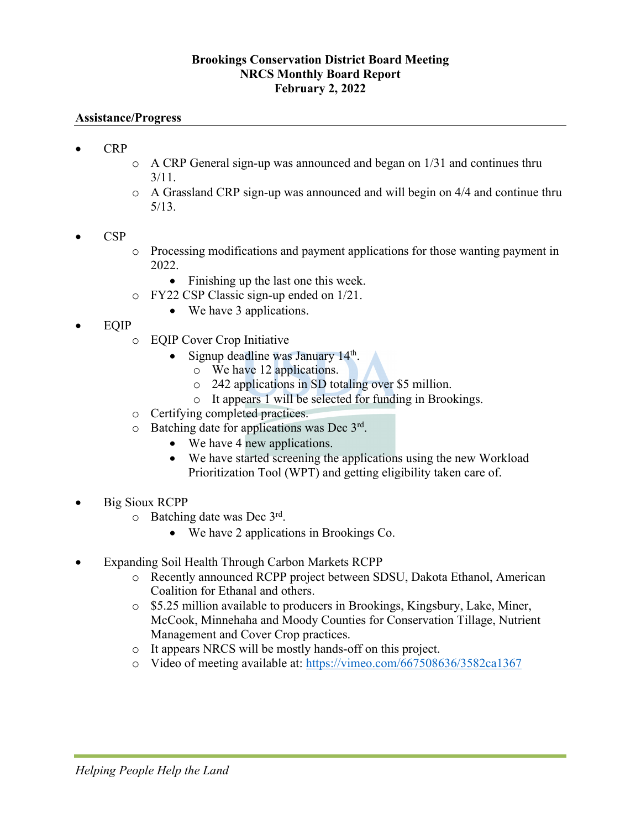# **Brookings Conservation District Board Meeting NRCS Monthly Board Report February 2, 2022**

### **Assistance/Progress**

- CRP
- o A CRP General sign-up was announced and began on 1/31 and continues thru 3/11.
- o A Grassland CRP sign-up was announced and will begin on 4/4 and continue thru 5/13.
- CSP
- o Processing modifications and payment applications for those wanting payment in 2022.
	- Finishing up the last one this week.
- o FY22 CSP Classic sign-up ended on 1/21.
	- We have 3 applications.
- EQIP
	- o EQIP Cover Crop Initiative
		- Signup deadline was January 14<sup>th</sup>.
			- o We have 12 applications.
			- o 242 applications in SD totaling over \$5 million.
			- o It appears 1 will be selected for funding in Brookings.
	- o Certifying completed practices.
	- $\circ$  Batching date for applications was Dec  $3^{rd}$ .
		- We have 4 new applications.
		- We have started screening the applications using the new Workload Prioritization Tool (WPT) and getting eligibility taken care of.
- Big Sioux RCPP
	- $\circ$  Batching date was Dec 3rd.
		- We have 2 applications in Brookings Co.
- Expanding Soil Health Through Carbon Markets RCPP
	- o Recently announced RCPP project between SDSU, Dakota Ethanol, American Coalition for Ethanal and others.
	- o \$5.25 million available to producers in Brookings, Kingsbury, Lake, Miner, McCook, Minnehaha and Moody Counties for Conservation Tillage, Nutrient Management and Cover Crop practices.
	- o It appears NRCS will be mostly hands-off on this project.
	- o Video of meeting available at: https://vimeo.com/667508636/3582ca1367